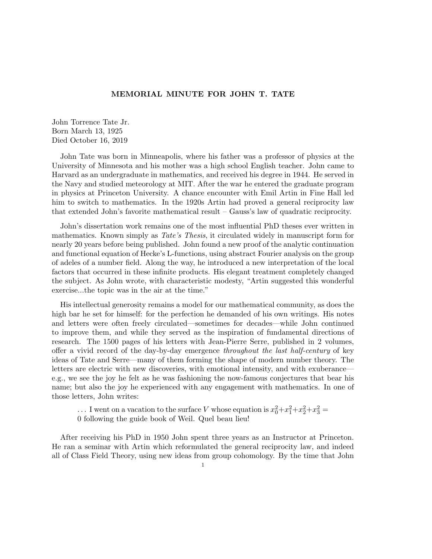## MEMORIAL MINUTE FOR JOHN T. TATE

John Torrence Tate Jr. Born March 13, 1925 Died October 16, 2019

John Tate was born in Minneapolis, where his father was a professor of physics at the University of Minnesota and his mother was a high school English teacher. John came to Harvard as an undergraduate in mathematics, and received his degree in 1944. He served in the Navy and studied meteorology at MIT. After the war he entered the graduate program in physics at Princeton University. A chance encounter with Emil Artin in Fine Hall led him to switch to mathematics. In the 1920s Artin had proved a general reciprocity law that extended John's favorite mathematical result – Gauss's law of quadratic reciprocity.

John's dissertation work remains one of the most influential PhD theses ever written in mathematics. Known simply as *Tate's Thesis*, it circulated widely in manuscript form for nearly 20 years before being published. John found a new proof of the analytic continuation and functional equation of Hecke's L-functions, using abstract Fourier analysis on the group of adeles of a number field. Along the way, he introduced a new interpretation of the local factors that occurred in these infinite products. His elegant treatment completely changed the subject. As John wrote, with characteristic modesty, "Artin suggested this wonderful exercise...the topic was in the air at the time."

His intellectual generosity remains a model for our mathematical community, as does the high bar he set for himself: for the perfection he demanded of his own writings. His notes and letters were often freely circulated—sometimes for decades—while John continued to improve them, and while they served as the inspiration of fundamental directions of research. The 1500 pages of his letters with Jean-Pierre Serre, published in 2 volumes, offer a vivid record of the day-by-day emergence *throughout the last half-century* of key ideas of Tate and Serre—many of them forming the shape of modern number theory. The letters are electric with new discoveries, with emotional intensity, and with exuberance e.g., we see the joy he felt as he was fashioning the now-famous conjectures that bear his name; but also the joy he experienced with any engagement with mathematics. In one of those letters, John writes:

 $\ldots$  I went on a vacation to the surface *V* whose equation is  $x_0^2 + x_1^2 + x_2^2 + x_3^2 =$ 0 following the guide book of Weil. Quel beau lieu!

After receiving his PhD in 1950 John spent three years as an Instructor at Princeton. He ran a seminar with Artin which reformulated the general reciprocity law, and indeed all of Class Field Theory, using new ideas from group cohomology. By the time that John